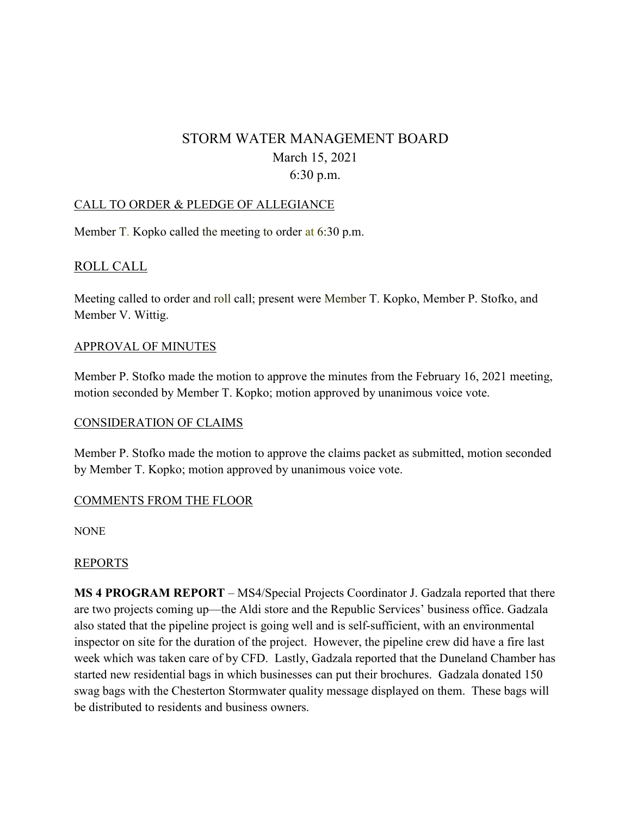# STORM WATER MANAGEMENT BOARD March 15, 2021 6:30 p.m.

## CALL TO ORDER & PLEDGE OF ALLEGIANCE

Member T. Kopko called the meeting to order at 6:30 p.m.

## ROLL CALL

Meeting called to order and roll call; present were Member T. Kopko, Member P. Stofko, and Member V. Wittig.

#### APPROVAL OF MINUTES

Member P. Stofko made the motion to approve the minutes from the February 16, 2021 meeting, motion seconded by Member T. Kopko; motion approved by unanimous voice vote.

#### CONSIDERATION OF CLAIMS

Member P. Stofko made the motion to approve the claims packet as submitted, motion seconded by Member T. Kopko; motion approved by unanimous voice vote.

#### COMMENTS FROM THE FLOOR

NONE

#### REPORTS

**MS 4 PROGRAM REPORT** – MS4/Special Projects Coordinator J. Gadzala reported that there are two projects coming up—the Aldi store and the Republic Services' business office. Gadzala also stated that the pipeline project is going well and is self-sufficient, with an environmental inspector on site for the duration of the project. However, the pipeline crew did have a fire last week which was taken care of by CFD. Lastly, Gadzala reported that the Duneland Chamber has started new residential bags in which businesses can put their brochures. Gadzala donated 150 swag bags with the Chesterton Stormwater quality message displayed on them. These bags will be distributed to residents and business owners.